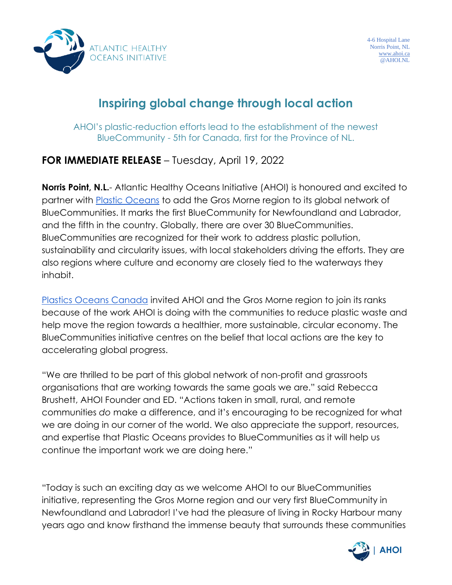

## **Inspiring global change through local action**

AHOI's plastic-reduction efforts lead to the establishment of the newest BlueCommunity - 5th for Canada, first for the Province of NL.

## **FOR IMMEDIATE RELEASE** – Tuesday, April 19, 2022

**Norris Point, N.L.**- Atlantic Healthy Oceans Initiative (AHOI) is honoured and excited to partner with [Plastic Oceans](https://plasticoceans.org/) to add the Gros Morne region to its global network of BlueCommunities. It marks the first BlueCommunity for Newfoundland and Labrador, and the fifth in the country. Globally, there are over 30 BlueCommunities. BlueCommunities are recognized for their work to address plastic pollution, sustainability and circularity issues, with local stakeholders driving the efforts. They are also regions where culture and economy are closely tied to the waterways they inhabit.

[Plastics Oceans Canada](http://www.plasticoceans.ca/) invited AHOI and the Gros Morne region to join its ranks because of the work AHOI is doing with the communities to reduce plastic waste and help move the region towards a healthier, more sustainable, circular economy. The BlueCommunities initiative centres on the belief that local actions are the key to accelerating global progress.

"We are thrilled to be part of this global network of non-profit and grassroots organisations that are working towards the same goals we are." said Rebecca Brushett, AHOI Founder and ED. "Actions taken in small, rural, and remote communities *do* make a difference, and it's encouraging to be recognized for what we are doing in our corner of the world. We also appreciate the support, resources, and expertise that Plastic Oceans provides to BlueCommunities as it will help us continue the important work we are doing here."

"Today is such an exciting day as we welcome AHOI to our BlueCommunities initiative, representing the Gros Morne region and our very first BlueCommunity in Newfoundland and Labrador! I've had the pleasure of living in Rocky Harbour many years ago and know firsthand the immense beauty that surrounds these communities

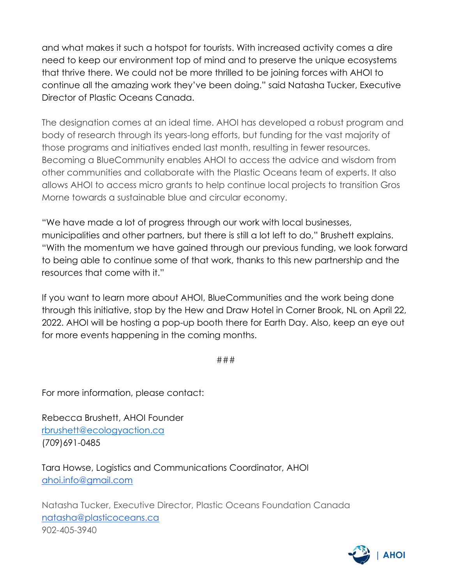and what makes it such a hotspot for tourists. With increased activity comes a dire need to keep our environment top of mind and to preserve the unique ecosystems that thrive there. We could not be more thrilled to be joining forces with AHOI to continue all the amazing work they've been doing." said Natasha Tucker, Executive Director of Plastic Oceans Canada.

The designation comes at an ideal time. AHOI has developed a robust program and body of research through its years-long efforts, but funding for the vast majority of those programs and initiatives ended last month, resulting in fewer resources. Becoming a BlueCommunity enables AHOI to access the advice and wisdom from other communities and collaborate with the Plastic Oceans team of experts. It also allows AHOI to access micro grants to help continue local projects to transition Gros Morne towards a sustainable blue and circular economy.

"We have made a lot of progress through our work with local businesses, municipalities and other partners, but there is still a lot left to do," Brushett explains. "With the momentum we have gained through our previous funding, we look forward to being able to continue some of that work, thanks to this new partnership and the resources that come with it."

If you want to learn more about AHOI, BlueCommunities and the work being done through this initiative, stop by the Hew and Draw Hotel in Corner Brook, NL on April 22, 2022. AHOI will be hosting a pop-up booth there for Earth Day. Also, keep an eye out for more events happening in the coming months.

###

For more information, please contact:

Rebecca Brushett, AHOI Founder [rbrushett@ecologyaction.ca](mailto:rbrushett@ecologyaction.ca) (709)691-0485

Tara Howse, Logistics and Communications Coordinator, AHOI [ahoi.info@gmail.com](mailto:ahoi.info@gmail.com)

Natasha Tucker, Executive Director, Plastic Oceans Foundation Canada [natasha@plasticoceans.ca](mailto:natasha@plasticoceans.ca) 902-405-3940